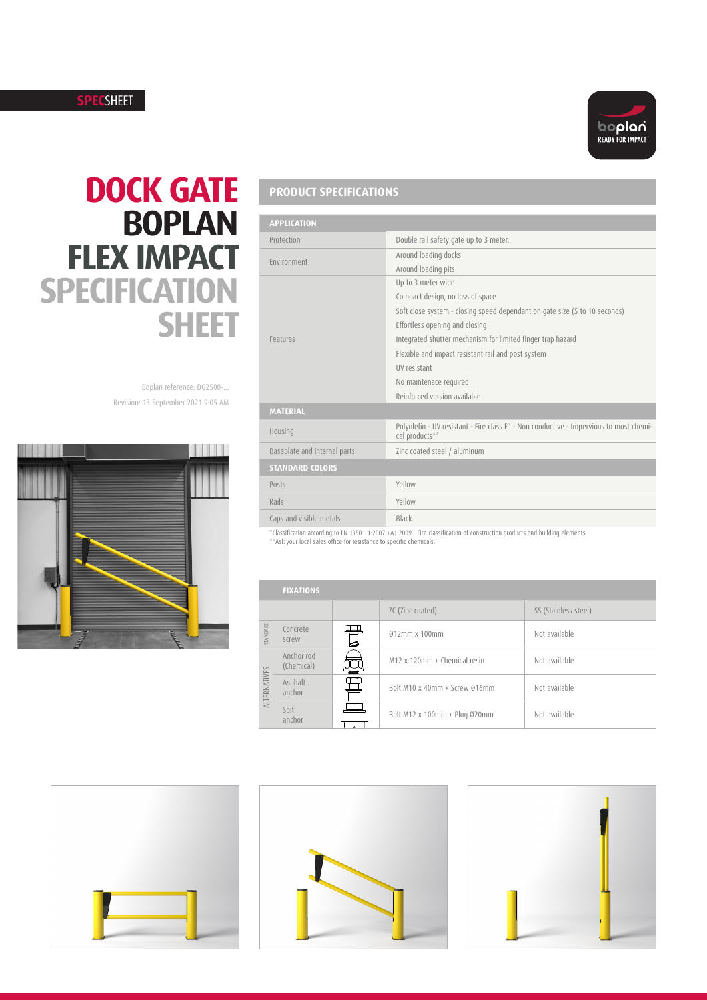#### **SPEC**SHEET



# **DOCK GATE BOPLAN FLEX IMPACT SPECIFICATION SHEET**

Revision: 13 September 2021 9:05 AM Boplan reference: DG2500-...



## **PRODUCT SPECIFICATIONS**

| <b>APPLICATION</b>           |                                                                                                          |
|------------------------------|----------------------------------------------------------------------------------------------------------|
| Protection                   | Double rail safety gate up to 3 meter.                                                                   |
| Environment                  | Around loading docks                                                                                     |
|                              | Around loading pits                                                                                      |
|                              | Up to 3 meter wide                                                                                       |
|                              | Compact design, no loss of space                                                                         |
|                              | Soft close system - closing speed dependant on gate size (5 to 10 seconds)                               |
|                              | Effortless opening and closing                                                                           |
| Features                     | Integrated shutter mechanism for limited finger trap hazard                                              |
|                              | Flexible and impact resistant rail and post system                                                       |
|                              | <b>IIV</b> resistant                                                                                     |
|                              | No maintenace required                                                                                   |
|                              | Reinforced version available                                                                             |
| <b>MATERIAL</b>              |                                                                                                          |
| Housing                      | Polyolefin - UV resistant - Fire class E* - Non conductive - Impervious to most chemi-<br>cal products** |
| Baseplate and internal parts | Zinc coated steel / aluminum                                                                             |
| <b>STANDARD COLORS</b>       |                                                                                                          |
| Posts                        | Yellow                                                                                                   |
| Rails                        | Yellow                                                                                                   |
| Caps and visible metals      | Black                                                                                                    |

\*Classification according to EN 13501-1:2007 +A1:2009 - Fire classification of construction products and building elements. \*\*Ask your local sales office for resistance to specific chemicals.

|              | <b>FIXATIONS</b>         |  |                               |                      |
|--------------|--------------------------|--|-------------------------------|----------------------|
|              |                          |  | ZC (Zinc coated)              | SS (Stainless steel) |
| STANDARD     | Concrete<br>screw        |  | $012$ mm x 100mm              | Not available        |
| ALTERNATIVES | Anchor rod<br>(Chemical) |  | M12 x 120mm + Chemical resin  | Not available        |
|              | Asphalt<br>anchor        |  | Bolt M10 x 40mm + Screw 016mm | Not available        |
|              | Spit<br>anchor           |  | Bolt M12 x 100mm + Plug Ø20mm | Not available        |





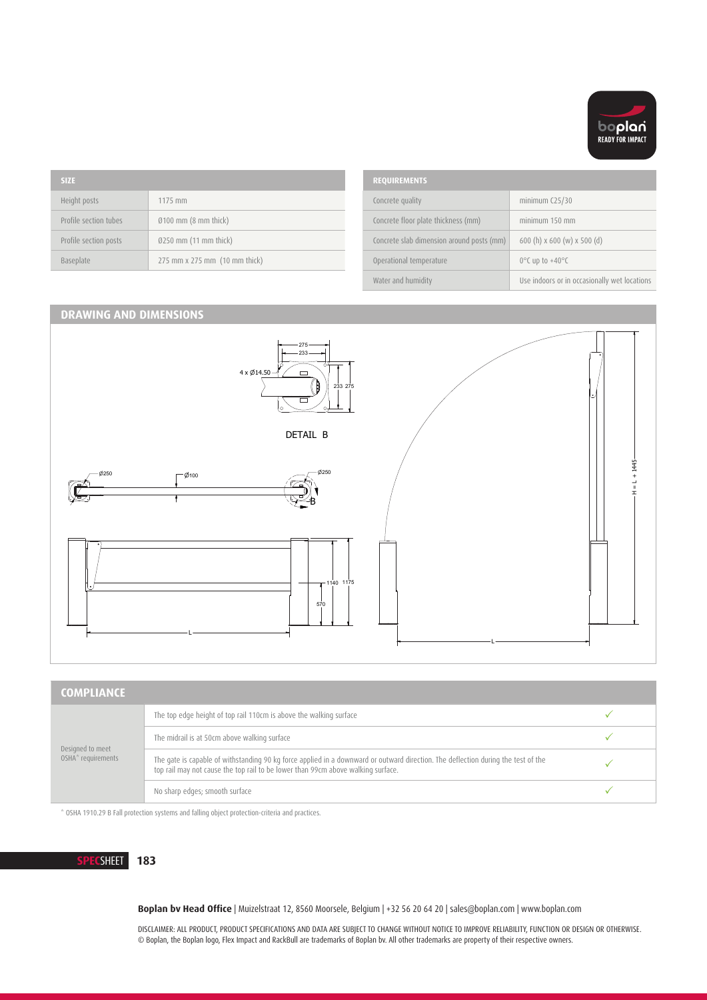

| <b>SIZE</b> |                       | <b>REQUIREMENTS</b>           |                                           |                                    |
|-------------|-----------------------|-------------------------------|-------------------------------------------|------------------------------------|
|             | Height posts          | 1175 mm                       | Concrete quality                          | minimum C25/                       |
|             | Profile section tubes | $0100$ mm (8 mm thick)        | Concrete floor plate thickness (mm)       | minimum 150                        |
|             | Profile section posts | $0250$ mm (11 mm thick)       | Concrete slab dimension around posts (mm) | 600 (h) $\times$ 600               |
|             | Baseplate             | 275 mm x 275 mm (10 mm thick) | Operational temperature                   | $0^{\circ}$ C up to +40 $^{\circ}$ |
|             |                       |                               |                                           |                                    |

| <b>REQUIREMENTS</b>                       |                                              |
|-------------------------------------------|----------------------------------------------|
| Concrete quality                          | minimum $C25/30$                             |
| Concrete floor plate thickness (mm)       | minimum 150 mm                               |
| Concrete slab dimension around posts (mm) | 600 (h) $x$ 600 (w) $x$ 500 (d)              |
| Operational temperature                   | $0^{\circ}$ C up to +40 $^{\circ}$ C         |
| Water and humidity                        | Use indoors or in occasionally wet locations |

1 2 3 4 5 6 7 8

### **DRAWING AND DIMENSIONS**



 $\overline{a}$ 

| <b>COMPLIANCE</b>                                  |                                                                                                                                                                                                                       |  |
|----------------------------------------------------|-----------------------------------------------------------------------------------------------------------------------------------------------------------------------------------------------------------------------|--|
| Designed to meet<br>OSHA <sup>*</sup> requirements | The top edge height of top rail 110cm is above the walking surface                                                                                                                                                    |  |
|                                                    | The midrail is at 50cm above walking surface                                                                                                                                                                          |  |
|                                                    | The gate is capable of withstanding 90 kg force applied in a downward or outward direction. The deflection during the test of the<br>top rail may not cause the top rail to be lower than 99cm above walking surface. |  |
|                                                    | No sharp edges; smooth surface                                                                                                                                                                                        |  |

\* OSHA 1910.29 B Fall protection systems and falling object protection-criteria and practices.

**SPECSHEET 183 183** 

**Boplan bv Head Office** | Muizelstraat 12, 8560 Moorsele, Belgium | +32 56 20 64 20 | sales@boplan.com | www.boplan.com

DISCLAIMER: ALL PRODUCT, PRODUCT SPECIFICATIONS AND DATA ARE SUBJECT TO CHANGE WITHOUT NOTICE TO IMPROVE RELIABILITY, FUNCTION OR DESIGN OR OTHERWISE. © Boplan, the Boplan logo, Flex Impact and RackBull are trademarks of Boplan bv. All other trademarks are property of their respective owners.